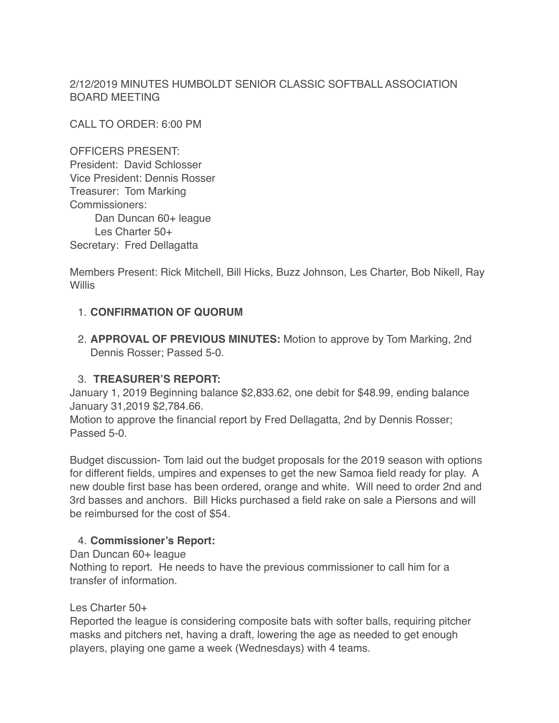2/12/2019 MINUTES HUMBOLDT SENIOR CLASSIC SOFTBALL ASSOCIATION BOARD MEETING

CALL TO ORDER: 6:00 PM

OFFICERS PRESENT: President: David Schlosser Vice President: Dennis Rosser Treasurer: Tom Marking Commissioners: Dan Duncan 60+ league Les Charter 50+ Secretary: Fred Dellagatta

Members Present: Rick Mitchell, Bill Hicks, Buzz Johnson, Les Charter, Bob Nikell, Ray Willis

# 1. **CONFIRMATION OF QUORUM**

2. **APPROVAL OF PREVIOUS MINUTES:** Motion to approve by Tom Marking, 2nd Dennis Rosser; Passed 5-0.

# 3. **TREASURER'S REPORT:**

January 1, 2019 Beginning balance \$2,833.62, one debit for \$48.99, ending balance January 31,2019 \$2,784.66.

Motion to approve the financial report by Fred Dellagatta, 2nd by Dennis Rosser; Passed 5-0.

Budget discussion- Tom laid out the budget proposals for the 2019 season with options for different fields, umpires and expenses to get the new Samoa field ready for play. A new double first base has been ordered, orange and white. Will need to order 2nd and 3rd basses and anchors. Bill Hicks purchased a field rake on sale a Piersons and will be reimbursed for the cost of \$54.

# 4. **Commissioner's Report:**

Dan Duncan 60+ league

Nothing to report. He needs to have the previous commissioner to call him for a transfer of information.

## Les Charter 50+

Reported the league is considering composite bats with softer balls, requiring pitcher masks and pitchers net, having a draft, lowering the age as needed to get enough players, playing one game a week (Wednesdays) with 4 teams.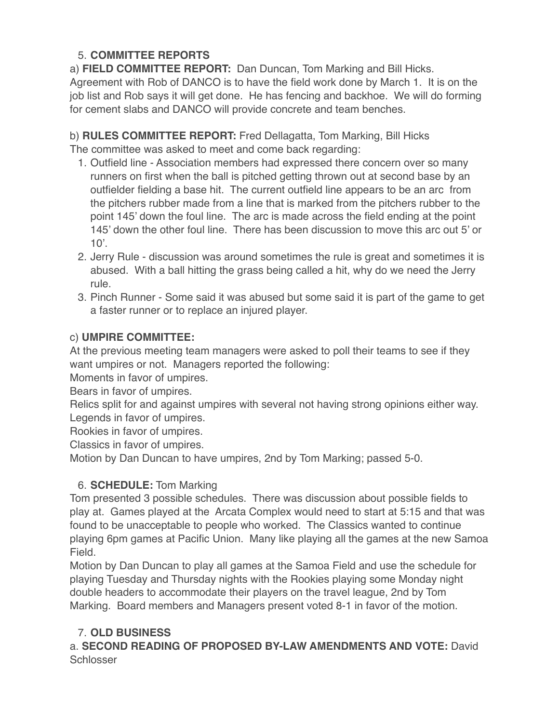# 5. **COMMITTEE REPORTS**

a) **FIELD COMMITTEE REPORT:** Dan Duncan, Tom Marking and Bill Hicks. Agreement with Rob of DANCO is to have the field work done by March 1. It is on the job list and Rob says it will get done. He has fencing and backhoe. We will do forming for cement slabs and DANCO will provide concrete and team benches.

b) **RULES COMMITTEE REPORT:** Fred Dellagatta, Tom Marking, Bill Hicks The committee was asked to meet and come back regarding:

- 1. Outfield line Association members had expressed there concern over so many runners on first when the ball is pitched getting thrown out at second base by an outfielder fielding a base hit. The current outfield line appears to be an arc from the pitchers rubber made from a line that is marked from the pitchers rubber to the point 145' down the foul line. The arc is made across the field ending at the point 145' down the other foul line. There has been discussion to move this arc out 5' or  $10'$ .
- 2. Jerry Rule discussion was around sometimes the rule is great and sometimes it is abused. With a ball hitting the grass being called a hit, why do we need the Jerry rule.
- 3. Pinch Runner Some said it was abused but some said it is part of the game to get a faster runner or to replace an injured player.

# c) **UMPIRE COMMITTEE:**

At the previous meeting team managers were asked to poll their teams to see if they want umpires or not. Managers reported the following:

Moments in favor of umpires.

Bears in favor of umpires.

Relics split for and against umpires with several not having strong opinions either way. Legends in favor of umpires.

Rookies in favor of umpires.

Classics in favor of umpires.

Motion by Dan Duncan to have umpires, 2nd by Tom Marking; passed 5-0.

# 6. **SCHEDULE:** Tom Marking

Tom presented 3 possible schedules. There was discussion about possible fields to play at. Games played at the Arcata Complex would need to start at 5:15 and that was found to be unacceptable to people who worked. The Classics wanted to continue playing 6pm games at Pacific Union. Many like playing all the games at the new Samoa Field.

Motion by Dan Duncan to play all games at the Samoa Field and use the schedule for playing Tuesday and Thursday nights with the Rookies playing some Monday night double headers to accommodate their players on the travel league, 2nd by Tom Marking. Board members and Managers present voted 8-1 in favor of the motion.

# 7. **OLD BUSINESS**

a. **SECOND READING OF PROPOSED BY-LAW AMENDMENTS AND VOTE:** David **Schlosser**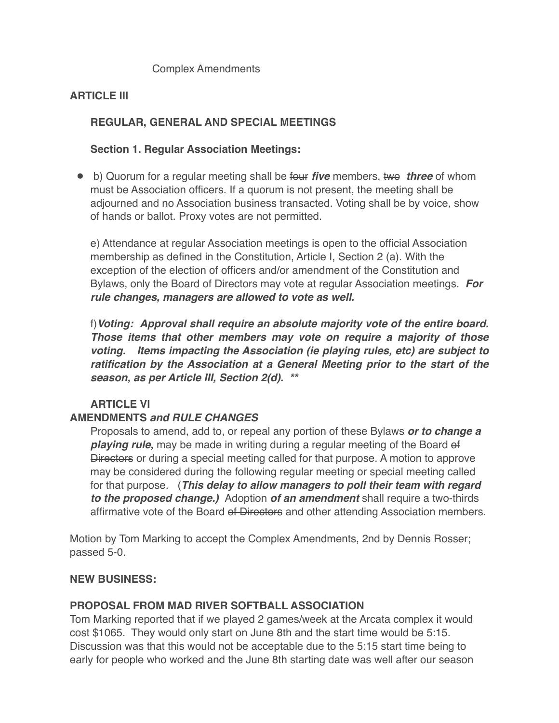#### Complex Amendments

## **ARTICLE III**

## **REGULAR, GENERAL AND SPECIAL MEETINGS**

## **Section 1. Regular Association Meetings:**

● b) Quorum for a regular meeting shall be four *five* members, two *three* of whom must be Association officers. If a quorum is not present, the meeting shall be adjourned and no Association business transacted. Voting shall be by voice, show of hands or ballot. Proxy votes are not permitted.

e) Attendance at regular Association meetings is open to the official Association membership as defined in the Constitution, Article I, Section 2 (a). With the exception of the election of officers and/or amendment of the Constitution and Bylaws, only the Board of Directors may vote at regular Association meetings. *For rule changes, managers are allowed to vote as well.*

f)*Voting: Approval shall require an absolute majority vote of the entire board. Those items that other members may vote on require a majority of those voting. Items impacting the Association (ie playing rules, etc) are subject to ratification by the Association at a General Meeting prior to the start of the season, as per Article III, Section 2(d). \*\**

## **ARTICLE VI**

## **AMENDMENTS** *and RULE CHANGES*

Proposals to amend, add to, or repeal any portion of these Bylaws *or to change a playing rule,* may be made in writing during a regular meeting of the Board of Directors or during a special meeting called for that purpose. A motion to approve may be considered during the following regular meeting or special meeting called for that purpose. (*This delay to allow managers to poll their team with regard to the proposed change.)* Adoption *of an amendment* shall require a two-thirds affirmative vote of the Board of Directors and other attending Association members.

Motion by Tom Marking to accept the Complex Amendments, 2nd by Dennis Rosser; passed 5-0.

#### **NEW BUSINESS:**

## **PROPOSAL FROM MAD RIVER SOFTBALL ASSOCIATION**

Tom Marking reported that if we played 2 games/week at the Arcata complex it would cost \$1065. They would only start on June 8th and the start time would be 5:15. Discussion was that this would not be acceptable due to the 5:15 start time being to early for people who worked and the June 8th starting date was well after our season